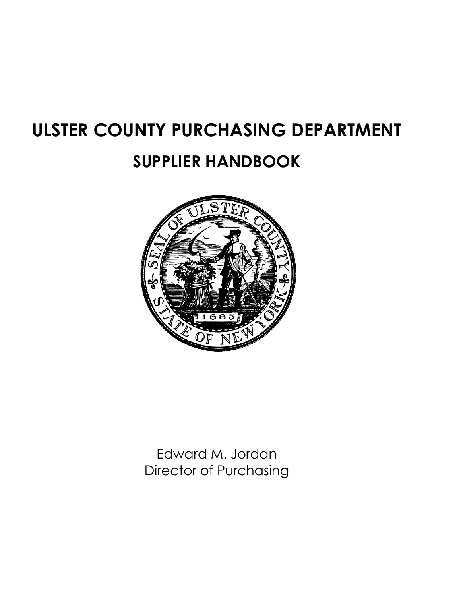# **ULSTER COUNTY PURCHASING DEPARTMENT**

# **SUPPLIER HANDBOOK**



Edward M. Jordan Director of Purchasing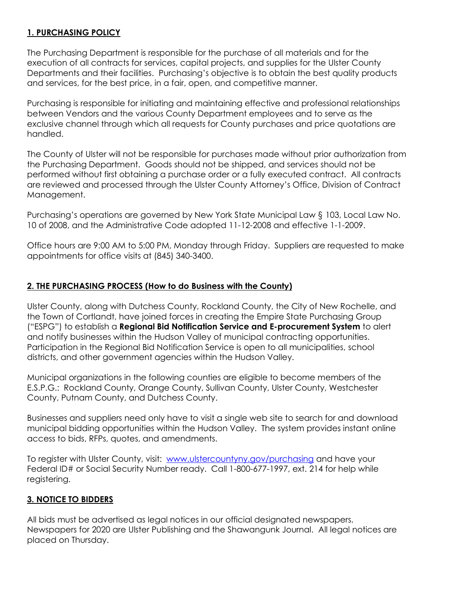# **1. PURCHASING POLICY**

The Purchasing Department is responsible for the purchase of all materials and for the execution of all contracts for services, capital projects, and supplies for the Ulster County Departments and their facilities. Purchasing's objective is to obtain the best quality products and services, for the best price, in a fair, open, and competitive manner.

Purchasing is responsible for initiating and maintaining effective and professional relationships between Vendors and the various County Department employees and to serve as the exclusive channel through which all requests for County purchases and price quotations are handled.

The County of Ulster will not be responsible for purchases made without prior authorization from the Purchasing Department. Goods should not be shipped, and services should not be performed without first obtaining a purchase order or a fully executed contract. All contracts are reviewed and processed through the Ulster County Attorney's Office, Division of Contract Management.

Purchasing's operations are governed by New York State Municipal Law § 103, Local Law No. 10 of 2008, and the Administrative Code adopted 11-12-2008 and effective 1-1-2009.

Office hours are 9:00 AM to 5:00 PM, Monday through Friday. Suppliers are requested to make appointments for office visits at (845) 340-3400.

#### **2. THE PURCHASING PROCESS (How to do Business with the County)**

Ulster County, along with Dutchess County, Rockland County, the City of New Rochelle, and the Town of Cortlandt, have joined forces in creating the Empire State Purchasing Group ("ESPG") to establish a **Regional Bid Notification Service and E-procurement System** to alert and notify businesses within the Hudson Valley of municipal contracting opportunities. Participation in the Regional Bid Notification Service is open to all municipalities, school districts, and other government agencies within the Hudson Valley.

Municipal organizations in the following counties are eligible to become members of the E.S.P.G.: Rockland County, Orange County, Sullivan County, Ulster County, Westchester County, Putnam County, and Dutchess County.

Businesses and suppliers need only have to visit a single web site to search for and download municipal bidding opportunities within the Hudson Valley. The system provides instant online access to bids, RFPs, quotes, and amendments.

To register with Ulster County, visit: [www.ulstercountyny.gov/purchasing](http://www.ulstercountyny.gov/purchasing) and have your Federal ID# or Social Security Number ready. Call 1-800-677-1997, ext. 214 for help while registering.

#### **3. NOTICE TO BIDDERS**

All bids must be advertised as legal notices in our official designated newspapers. Newspapers for 2020 are Ulster Publishing and the Shawangunk Journal. All legal notices are placed on Thursday.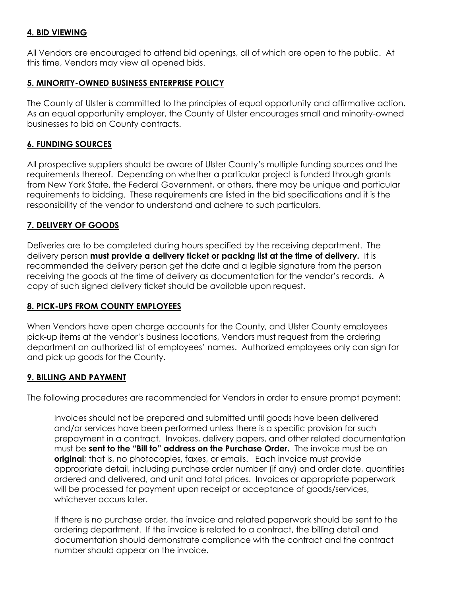### **4. BID VIEWING**

All Vendors are encouraged to attend bid openings, all of which are open to the public. At this time, Vendors may view all opened bids.

# **5. MINORITY-OWNED BUSINESS ENTERPRISE POLICY**

The County of Ulster is committed to the principles of equal opportunity and affirmative action. As an equal opportunity employer, the County of Ulster encourages small and minority-owned businesses to bid on County contracts.

# **6. FUNDING SOURCES**

All prospective suppliers should be aware of Ulster County's multiple funding sources and the requirements thereof. Depending on whether a particular project is funded through grants from New York State, the Federal Government, or others, there may be unique and particular requirements to bidding. These requirements are listed in the bid specifications and it is the responsibility of the vendor to understand and adhere to such particulars.

# **7. DELIVERY OF GOODS**

Deliveries are to be completed during hours specified by the receiving department. The delivery person **must provide a delivery ticket or packing list at the time of delivery.** It is recommended the delivery person get the date and a legible signature from the person receiving the goods at the time of delivery as documentation for the vendor's records. A copy of such signed delivery ticket should be available upon request.

#### **8. PICK-UPS FROM COUNTY EMPLOYEES**

When Vendors have open charge accounts for the County, and Ulster County employees pick-up items at the vendor's business locations, Vendors must request from the ordering department an authorized list of employees' names. Authorized employees only can sign for and pick up goods for the County.

#### **9. BILLING AND PAYMENT**

The following procedures are recommended for Vendors in order to ensure prompt payment:

Invoices should not be prepared and submitted until goods have been delivered and/or services have been performed unless there is a specific provision for such prepayment in a contract. Invoices, delivery papers, and other related documentation must be **sent to the "Bill to" address on the Purchase Order.** The invoice must be an **original**; that is, no photocopies, faxes, or emails. Each invoice must provide appropriate detail, including purchase order number (if any) and order date, quantities ordered and delivered, and unit and total prices. Invoices or appropriate paperwork will be processed for payment upon receipt or acceptance of goods/services, whichever occurs later.

If there is no purchase order, the invoice and related paperwork should be sent to the ordering department. If the invoice is related to a contract, the billing detail and documentation should demonstrate compliance with the contract and the contract number should appear on the invoice.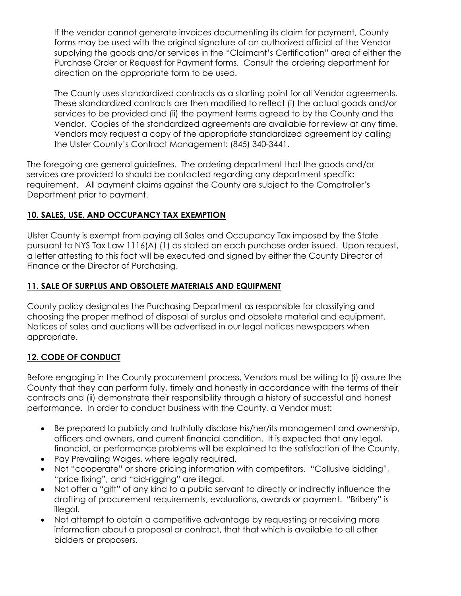If the vendor cannot generate invoices documenting its claim for payment, County forms may be used with the original signature of an authorized official of the Vendor supplying the goods and/or services in the "Claimant's Certification" area of either the Purchase Order or Request for Payment forms. Consult the ordering department for direction on the appropriate form to be used.

The County uses standardized contracts as a starting point for all Vendor agreements. These standardized contracts are then modified to reflect (i) the actual goods and/or services to be provided and (ii) the payment terms agreed to by the County and the Vendor. Copies of the standardized agreements are available for review at any time. Vendors may request a copy of the appropriate standardized agreement by calling the Ulster County's Contract Management: (845) 340-3441.

The foregoing are general guidelines. The ordering department that the goods and/or services are provided to should be contacted regarding any department specific requirement. All payment claims against the County are subject to the Comptroller's Department prior to payment.

# **10. SALES, USE, AND OCCUPANCY TAX EXEMPTION**

Ulster County is exempt from paying all Sales and Occupancy Tax imposed by the State pursuant to NYS Tax Law 1116(A) (1) as stated on each purchase order issued. Upon request, a letter attesting to this fact will be executed and signed by either the County Director of Finance or the Director of Purchasing.

# **11. SALE OF SURPLUS AND OBSOLETE MATERIALS AND EQUIPMENT**

County policy designates the Purchasing Department as responsible for classifying and choosing the proper method of disposal of surplus and obsolete material and equipment. Notices of sales and auctions will be advertised in our legal notices newspapers when appropriate.

#### **12. CODE OF CONDUCT**

Before engaging in the County procurement process, Vendors must be willing to (i) assure the County that they can perform fully, timely and honestly in accordance with the terms of their contracts and (ii) demonstrate their responsibility through a history of successful and honest performance. In order to conduct business with the County, a Vendor must:

- Be prepared to publicly and truthfully disclose his/her/its management and ownership, officers and owners, and current financial condition. It is expected that any legal, financial, or performance problems will be explained to the satisfaction of the County.
- Pay Prevailing Wages, where legally required.
- Not "cooperate" or share pricing information with competitors. "Collusive bidding", "price fixing", and "bid-rigging" are illegal.
- Not offer a "gift" of any kind to a public servant to directly or indirectly influence the drafting of procurement requirements, evaluations, awards or payment. "Bribery" is illegal.
- Not attempt to obtain a competitive advantage by requesting or receiving more information about a proposal or contract, that that which is available to all other bidders or proposers.